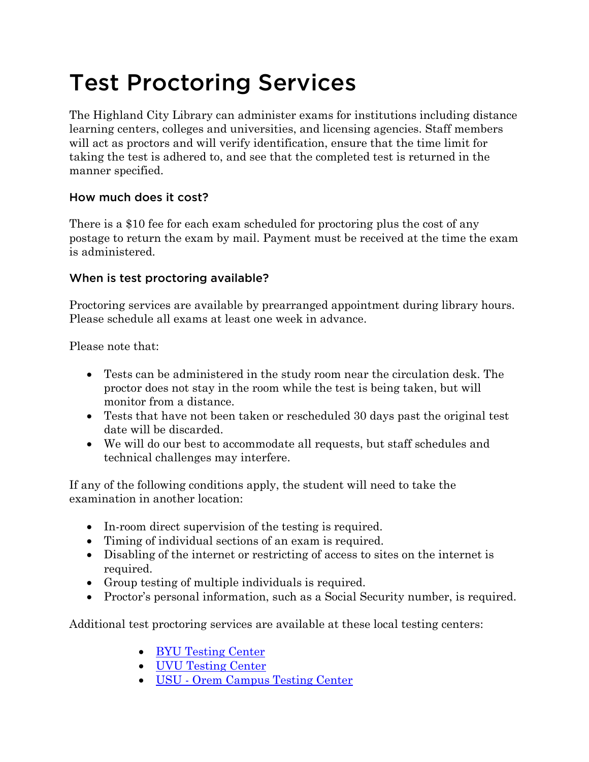# Test Proctoring Services

The Highland City Library can administer exams for institutions including distance learning centers, colleges and universities, and licensing agencies. Staff members will act as proctors and will verify identification, ensure that the time limit for taking the test is adhered to, and see that the completed test is returned in the manner specified.

## How much does it cost?

There is a \$10 fee for each exam scheduled for proctoring plus the cost of any postage to return the exam by mail. Payment must be received at the time the exam is administered.

# When is test proctoring available?

Proctoring services are available by prearranged appointment during library hours. Please schedule all exams at least one week in advance.

Please note that:

- Tests can be administered in the study room near the circulation desk. The proctor does not stay in the room while the test is being taken, but will monitor from a distance.
- Tests that have not been taken or rescheduled 30 days past the original test date will be discarded.
- We will do our best to accommodate all requests, but staff schedules and technical challenges may interfere.

If any of the following conditions apply, the student will need to take the examination in another location:

- In-room direct supervision of the testing is required.
- Timing of individual sections of an exam is required.
- Disabling of the internet or restricting of access to sites on the internet is required.
- Group testing of multiple individuals is required.
- Proctor's personal information, such as a Social Security number, is required.

Additional test proctoring services are available at these local testing centers:

- [BYU Testing Center](https://testing.byu.edu/taking-tests#nonstudents)
- [UVU Testing Center](https://www.uvu.edu/testingservices/getstarted/additionaltesting.html)
- USU [Orem Campus Testing Center](https://www.usu.edu/campuses/testing/)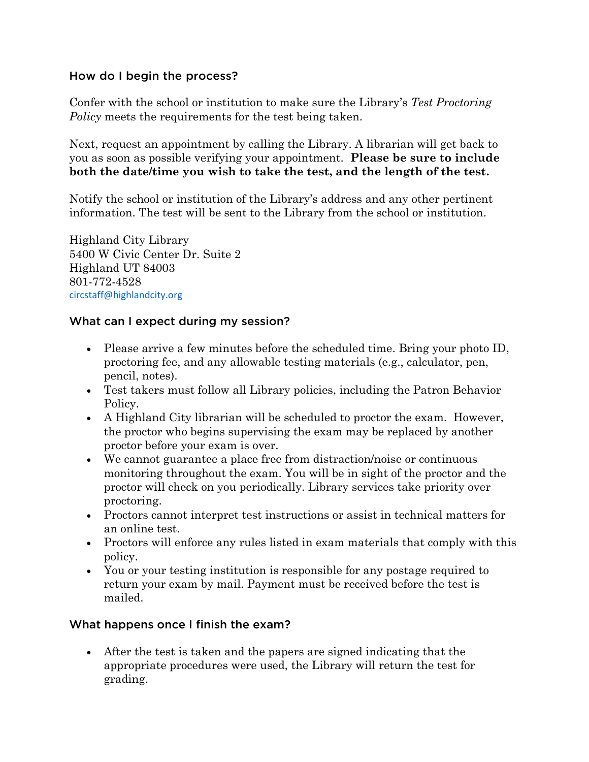#### How do I begin the process?

Confer with the school or institution to make sure the Library's *Test Proctoring Policy* meets the requirements for the test being taken.

Next, request an appointment by calling the Library. A librarian will get back to you as soon as possible verifying your appointment. **Please be sure to include both the date/time you wish to take the test, and the length of the test.**

Notify the school or institution of the Library's address and any other pertinent information. The test will be sent to the Library from the school or institution.

Highland City Library 5400 W Civic Center Dr. Suite 2 Highland UT 84003 801-772-4528 [circstaff@highlandcity.org](mailto:circstaff@highlandcity.org)

## What can I expect during my session?

- Please arrive a few minutes before the scheduled time. Bring your photo ID, proctoring fee, and any allowable testing materials (e.g., calculator, pen, pencil, notes).
- Test takers must follow all Library policies, including the Patron Behavior Policy.
- A Highland City librarian will be scheduled to proctor the exam. However, the proctor who begins supervising the exam may be replaced by another proctor before your exam is over.
- We cannot guarantee a place free from distraction/noise or continuous monitoring throughout the exam. You will be in sight of the proctor and the proctor will check on you periodically. Library services take priority over proctoring.
- Proctors cannot interpret test instructions or assist in technical matters for an online test.
- Proctors will enforce any rules listed in exam materials that comply with this policy.
- You or your testing institution is responsible for any postage required to return your exam by mail. Payment must be received before the test is mailed.

# What happens once I finish the exam?

 After the test is taken and the papers are signed indicating that the appropriate procedures were used, the Library will return the test for grading.